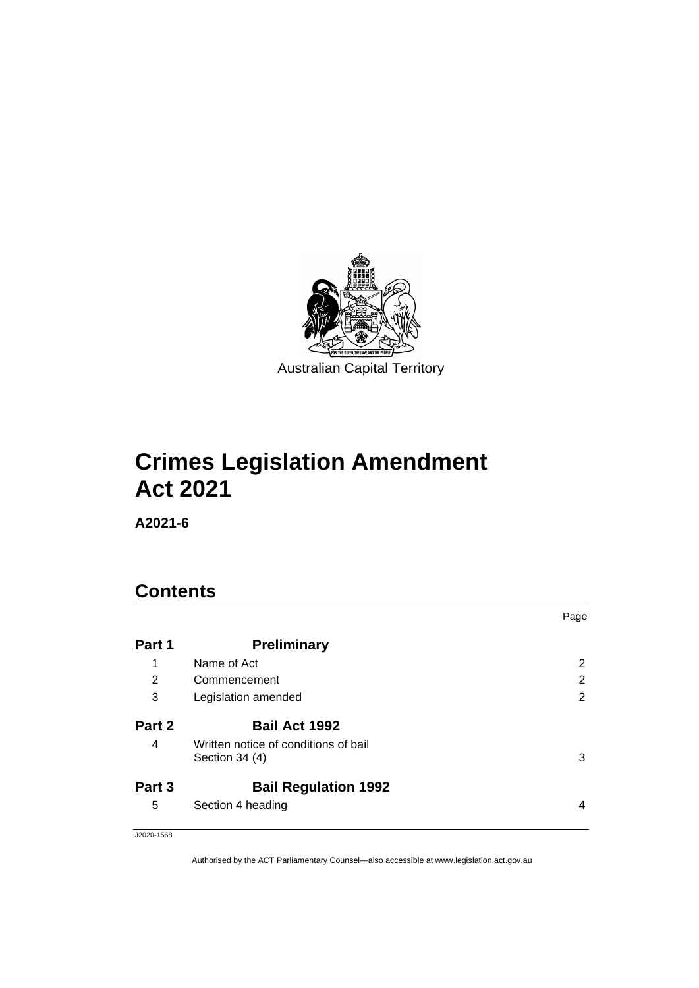

# **Crimes Legislation Amendment Act 2021**

**A2021-6**

# **Contents**

|        |                                                        | Page |
|--------|--------------------------------------------------------|------|
| Part 1 | <b>Preliminary</b>                                     |      |
| 1      | Name of Act                                            | 2    |
| 2      | Commencement                                           | 2    |
| 3      | Legislation amended                                    | 2    |
| Part 2 | <b>Bail Act 1992</b>                                   |      |
| 4      | Written notice of conditions of bail<br>Section 34 (4) | 3    |
| Part 3 | <b>Bail Regulation 1992</b>                            |      |
| 5      | Section 4 heading                                      | 4    |

J2020-1568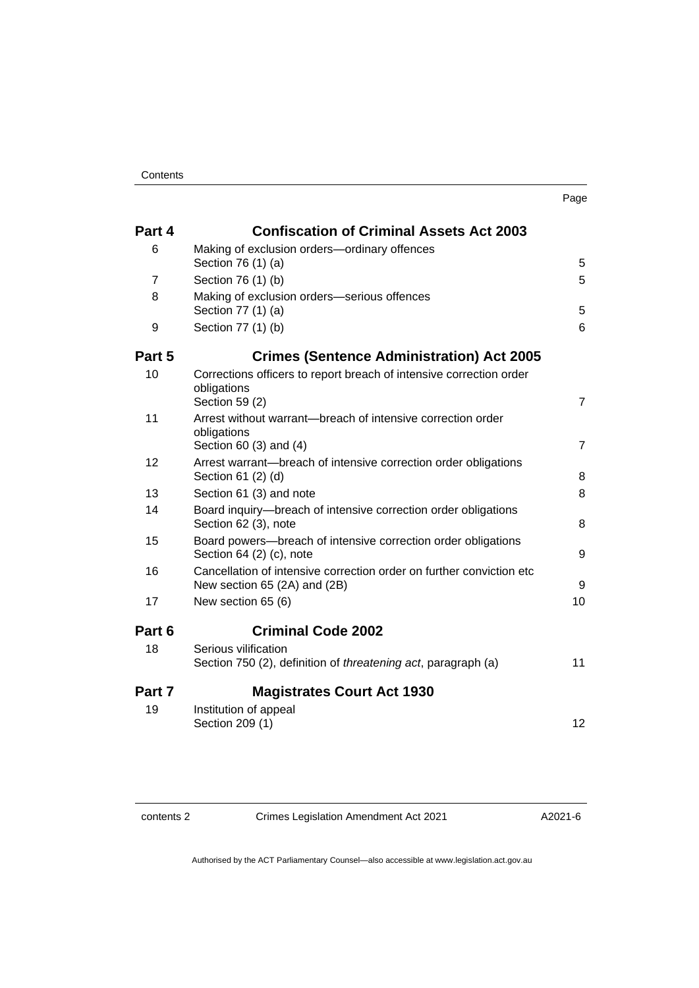| . .<br>× |  |
|----------|--|

| Part 4         | <b>Confiscation of Criminal Assets Act 2003</b>                                                      |                |
|----------------|------------------------------------------------------------------------------------------------------|----------------|
| 6              | Making of exclusion orders-ordinary offences                                                         |                |
|                | Section 76 (1) (a)                                                                                   | 5              |
| $\overline{7}$ | Section 76 (1) (b)                                                                                   | 5              |
| 8              | Making of exclusion orders-serious offences<br>Section 77 (1) (a)                                    | 5              |
| 9              | Section 77 (1) (b)                                                                                   | 6              |
| Part 5         | <b>Crimes (Sentence Administration) Act 2005</b>                                                     |                |
| 10             | Corrections officers to report breach of intensive correction order<br>obligations<br>Section 59 (2) | $\overline{7}$ |
| 11             | Arrest without warrant-breach of intensive correction order<br>obligations<br>Section 60 (3) and (4) | $\overline{7}$ |
| 12             | Arrest warrant-breach of intensive correction order obligations<br>Section 61 (2) (d)                | 8              |
| 13             | Section 61 (3) and note                                                                              | 8              |
| 14             | Board inquiry—breach of intensive correction order obligations<br>Section 62 (3), note               | 8              |
| 15             | Board powers-breach of intensive correction order obligations<br>Section 64 (2) (c), note            | 9              |
| 16             | Cancellation of intensive correction order on further conviction etc<br>New section 65 (2A) and (2B) | 9              |
| 17             | New section 65 (6)                                                                                   | 10             |
| Part 6         | <b>Criminal Code 2002</b>                                                                            |                |
| 18             | Serious vilification<br>Section 750 (2), definition of <i>threatening act</i> , paragraph (a)        | 11             |
| Part 7         | <b>Magistrates Court Act 1930</b>                                                                    |                |
| 19             | Institution of appeal<br>Section 209 (1)                                                             | 12             |

contents 2 Crimes Legislation Amendment Act 2021

A2021-6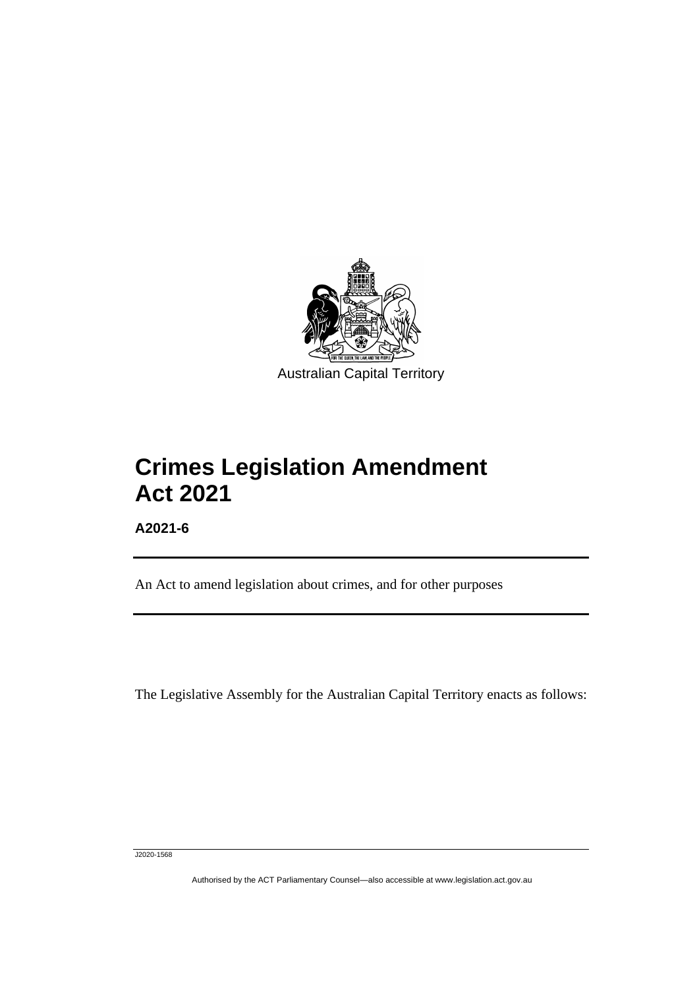

# **Crimes Legislation Amendment Act 2021**

**A2021-6**

ֺֺׅ֡֡֡֬֞

An Act to amend legislation about crimes, and for other purposes

The Legislative Assembly for the Australian Capital Territory enacts as follows:

J2020-1568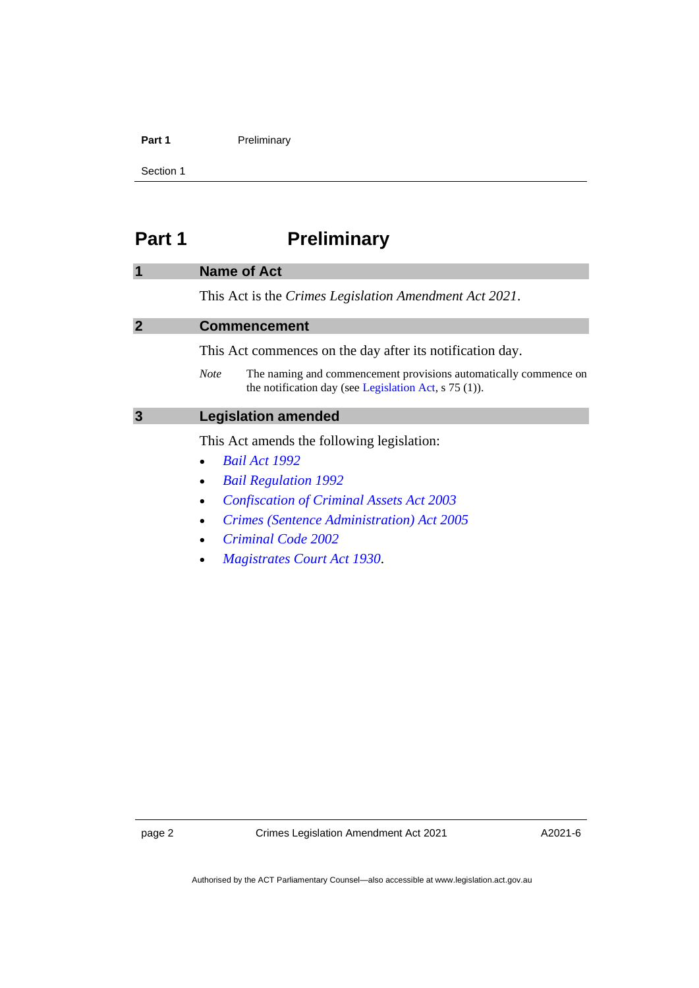#### Part 1 **Preliminary**

Section 1

# <span id="page-3-0"></span>**Part 1 Preliminary**

#### <span id="page-3-1"></span>**1 Name of Act**

This Act is the *Crimes Legislation Amendment Act 2021*.

#### <span id="page-3-2"></span>**2 Commencement**

This Act commences on the day after its notification day.

*Note* The naming and commencement provisions automatically commence on the notification day (see [Legislation Act,](http://www.legislation.act.gov.au/a/2001-14) s 75 (1)).

### <span id="page-3-3"></span>**3 Legislation amended**

This Act amends the following legislation:

- *[Bail Act 1992](http://www.legislation.act.gov.au/a/1992-8)*
- *[Bail Regulation 1992](http://www.legislation.act.gov.au/sl/1992-30)*
- *[Confiscation of Criminal Assets Act 2003](http://www.legislation.act.gov.au/a/2003-8)*
- *[Crimes \(Sentence Administration\) Act 2005](http://www.legislation.act.gov.au/a/2005-59)*
- *[Criminal Code 2002](http://www.legislation.act.gov.au/a/2002-51)*
- *[Magistrates Court Act 1930](http://www.legislation.act.gov.au/a/1930-21)*.

A2021-6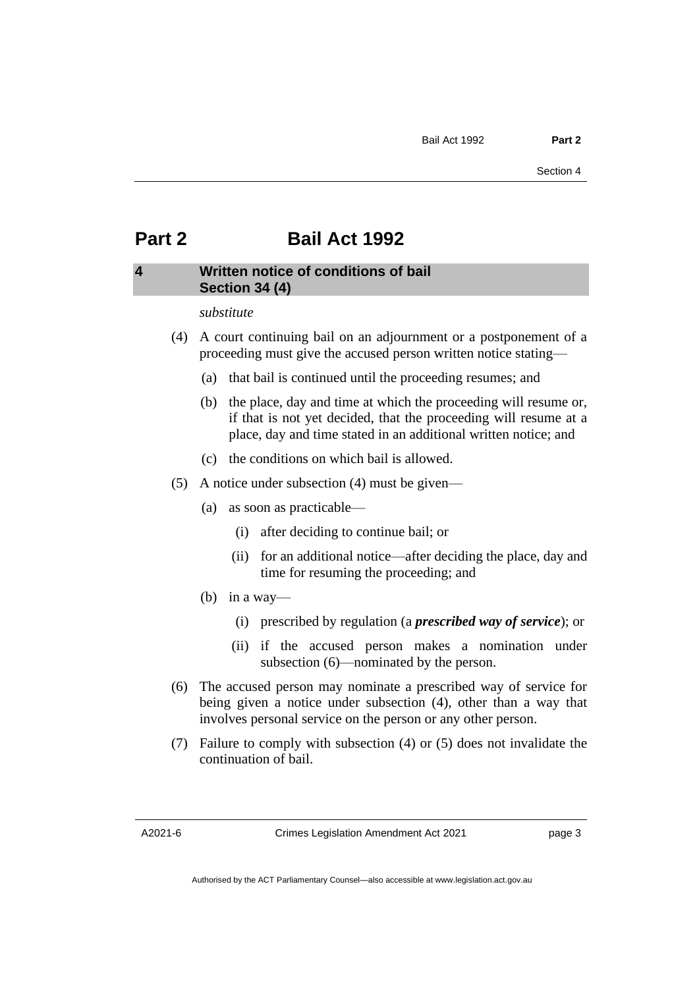# <span id="page-4-0"></span>**Part 2 Bail Act 1992**

## <span id="page-4-1"></span>**4 Written notice of conditions of bail Section 34 (4)**

#### *substitute*

- (4) A court continuing bail on an adjournment or a postponement of a proceeding must give the accused person written notice stating—
	- (a) that bail is continued until the proceeding resumes; and
	- (b) the place, day and time at which the proceeding will resume or, if that is not yet decided, that the proceeding will resume at a place, day and time stated in an additional written notice; and
	- (c) the conditions on which bail is allowed.
- (5) A notice under subsection (4) must be given—
	- (a) as soon as practicable—
		- (i) after deciding to continue bail; or
		- (ii) for an additional notice—after deciding the place, day and time for resuming the proceeding; and
	- (b) in a way—
		- (i) prescribed by regulation (a *prescribed way of service*); or
		- (ii) if the accused person makes a nomination under subsection (6)—nominated by the person.
- (6) The accused person may nominate a prescribed way of service for being given a notice under subsection (4), other than a way that involves personal service on the person or any other person.
- (7) Failure to comply with subsection (4) or (5) does not invalidate the continuation of bail.

page 3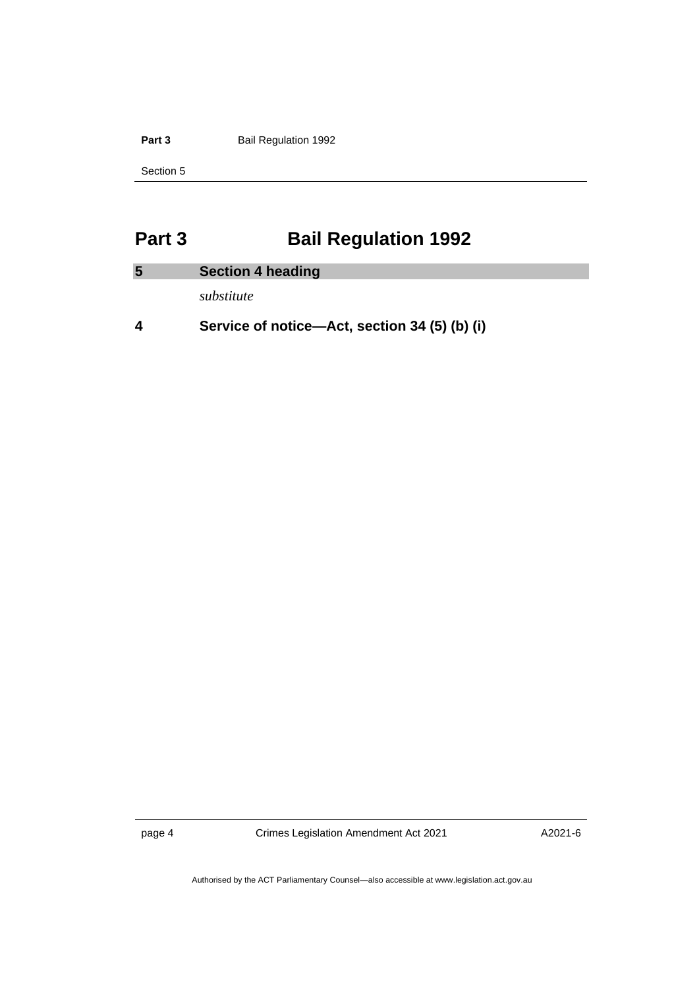Part 3 **Bail Regulation 1992** 

Section 5

# <span id="page-5-0"></span>**Part 3 Bail Regulation 1992**

<span id="page-5-1"></span>

| 5 | <b>Section 4 heading</b> |
|---|--------------------------|
|   |                          |

*substitute*

**4 Service of notice—Act, section 34 (5) (b) (i)**

page 4 Crimes Legislation Amendment Act 2021

A2021-6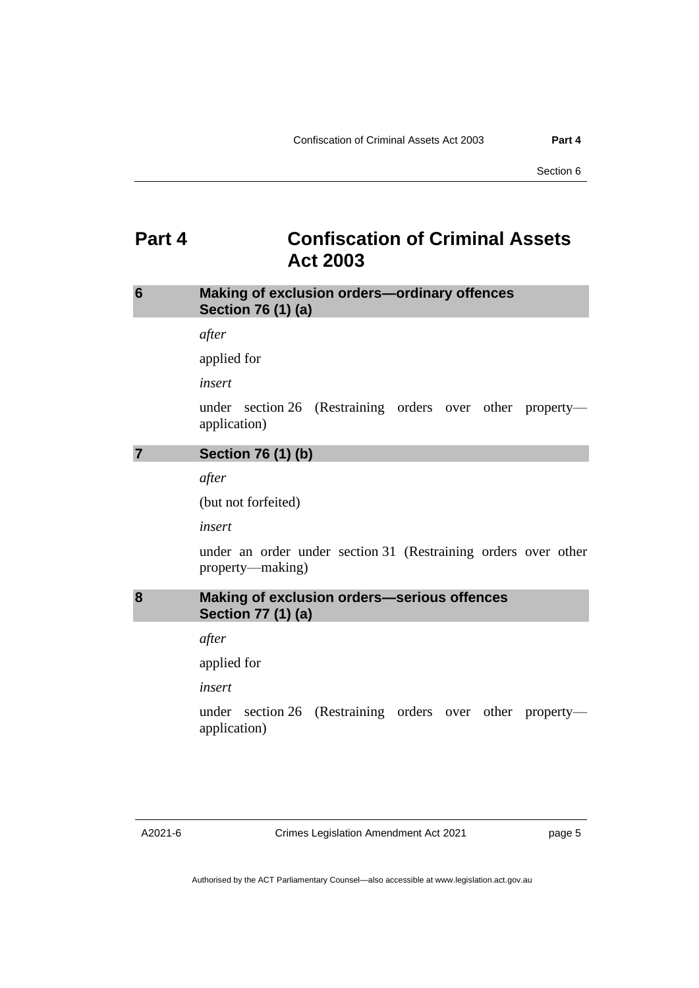# <span id="page-6-0"></span>**Part 4 Confiscation of Criminal Assets Act 2003**

## <span id="page-6-1"></span>**6 Making of exclusion orders—ordinary offences Section 76 (1) (a)**

*after*

applied for

*insert*

under section 26 (Restraining orders over other property application)

### <span id="page-6-2"></span>**7 Section 76 (1) (b)**

*after*

(but not forfeited)

*insert*

under an order under section 31 (Restraining orders over other property—making)

## <span id="page-6-3"></span>**8 Making of exclusion orders—serious offences Section 77 (1) (a)**

*after*

applied for

*insert*

under section 26 (Restraining orders over other property application)

page 5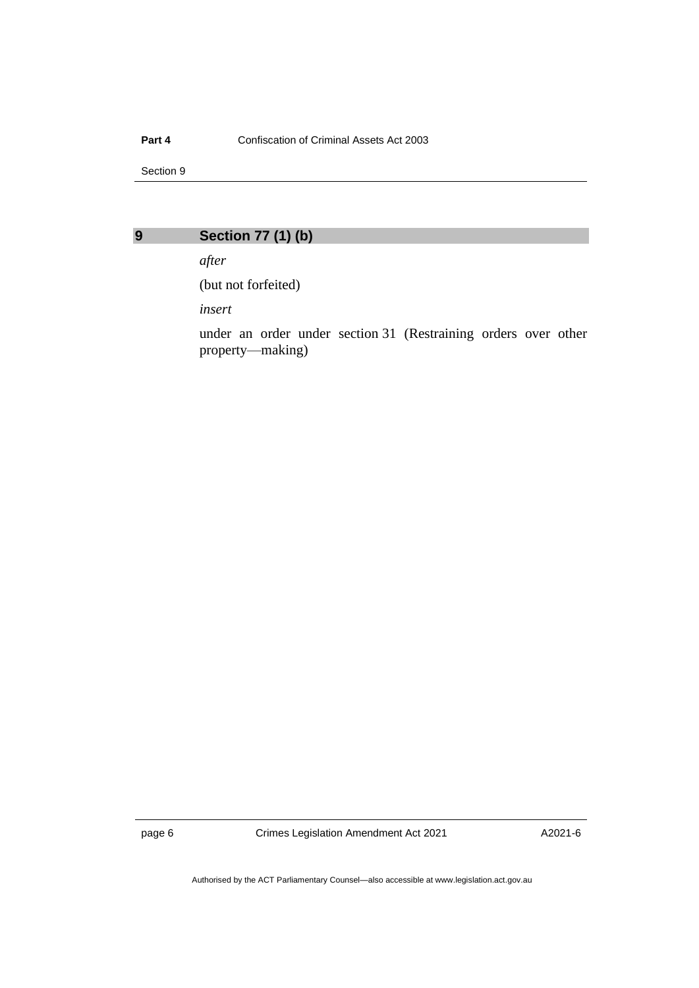#### **Part 4** Confiscation of Criminal Assets Act 2003

Section 9

<span id="page-7-0"></span>**9 Section 77 (1) (b)**

*after*

(but not forfeited)

*insert*

under an order under section 31 (Restraining orders over other property—making)

page 6 Crimes Legislation Amendment Act 2021

A2021-6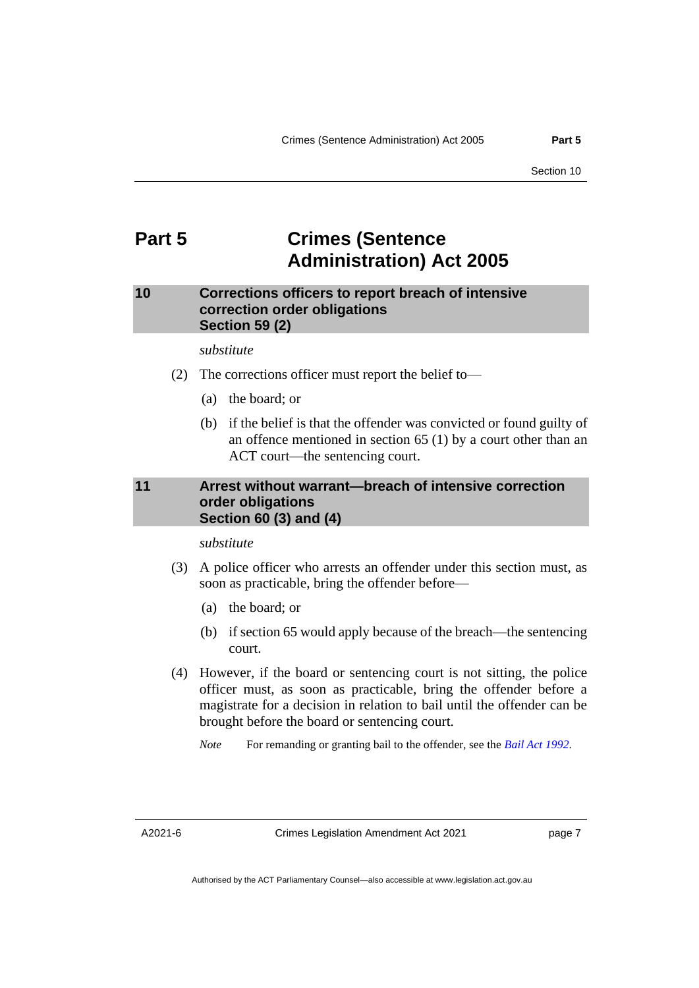# <span id="page-8-0"></span>**Part 5 Crimes (Sentence Administration) Act 2005**

## <span id="page-8-1"></span>**10 Corrections officers to report breach of intensive correction order obligations Section 59 (2)**

*substitute*

- (2) The corrections officer must report the belief to—
	- (a) the board; or
	- (b) if the belief is that the offender was convicted or found guilty of an offence mentioned in section 65 (1) by a court other than an ACT court—the sentencing court.

## <span id="page-8-2"></span>**11 Arrest without warrant—breach of intensive correction order obligations Section 60 (3) and (4)**

*substitute*

- (3) A police officer who arrests an offender under this section must, as soon as practicable, bring the offender before—
	- (a) the board; or
	- (b) if section 65 would apply because of the breach—the sentencing court.
- (4) However, if the board or sentencing court is not sitting, the police officer must, as soon as practicable, bring the offender before a magistrate for a decision in relation to bail until the offender can be brought before the board or sentencing court.

*Note* For remanding or granting bail to the offender, see the *[Bail Act](http://www.legislation.act.gov.au/a/1992-8) 1992*.

A2021-6

page 7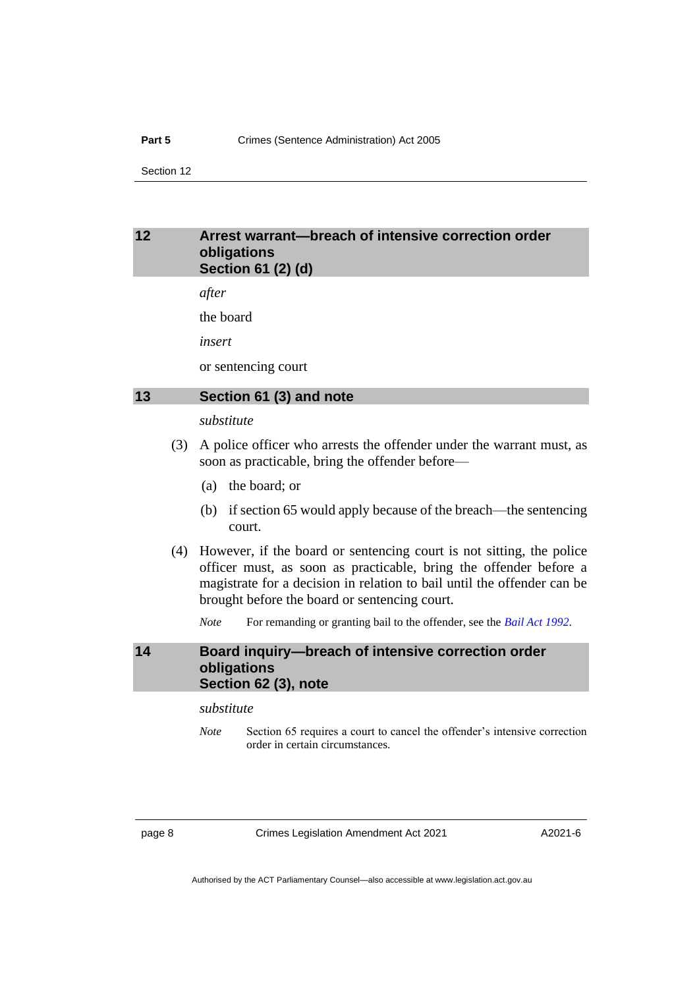## <span id="page-9-0"></span>**12 Arrest warrant—breach of intensive correction order obligations Section 61 (2) (d)**

*after*

the board

*insert*

or sentencing court

### <span id="page-9-1"></span>**13 Section 61 (3) and note**

#### *substitute*

- (3) A police officer who arrests the offender under the warrant must, as soon as practicable, bring the offender before—
	- (a) the board; or
	- (b) if section 65 would apply because of the breach—the sentencing court.
- (4) However, if the board or sentencing court is not sitting, the police officer must, as soon as practicable, bring the offender before a magistrate for a decision in relation to bail until the offender can be brought before the board or sentencing court.
	- *Note* For remanding or granting bail to the offender, see the *[Bail Act](http://www.legislation.act.gov.au/a/1992-8) 1992*.

## <span id="page-9-2"></span>**14 Board inquiry—breach of intensive correction order obligations Section 62 (3), note**

#### *substitute*

*Note* Section 65 requires a court to cancel the offender's intensive correction order in certain circumstances.

page 8 Crimes Legislation Amendment Act 2021

A2021-6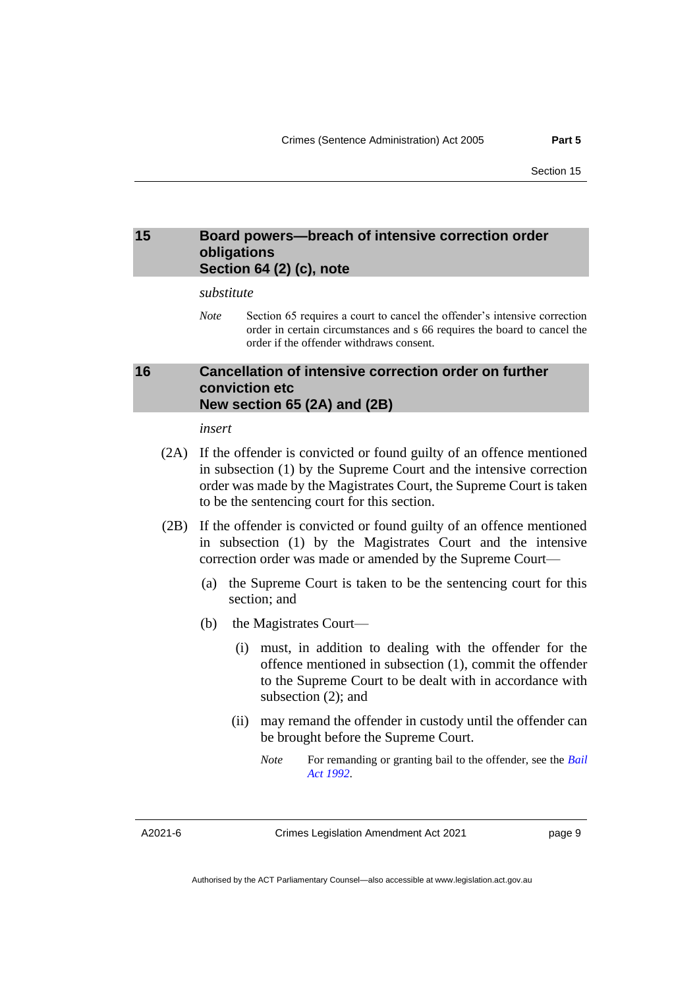## <span id="page-10-0"></span>**15 Board powers—breach of intensive correction order obligations Section 64 (2) (c), note**

#### *substitute*

*Note* Section 65 requires a court to cancel the offender's intensive correction order in certain circumstances and s 66 requires the board to cancel the order if the offender withdraws consent.

## <span id="page-10-1"></span>**16 Cancellation of intensive correction order on further conviction etc New section 65 (2A) and (2B)**

*insert*

- (2A) If the offender is convicted or found guilty of an offence mentioned in subsection (1) by the Supreme Court and the intensive correction order was made by the Magistrates Court, the Supreme Court is taken to be the sentencing court for this section.
- (2B) If the offender is convicted or found guilty of an offence mentioned in subsection (1) by the Magistrates Court and the intensive correction order was made or amended by the Supreme Court—
	- (a) the Supreme Court is taken to be the sentencing court for this section; and
	- (b) the Magistrates Court—
		- (i) must, in addition to dealing with the offender for the offence mentioned in subsection (1), commit the offender to the Supreme Court to be dealt with in accordance with subsection (2); and
		- (ii) may remand the offender in custody until the offender can be brought before the Supreme Court.
			- *Note* For remanding or granting bail to the offender, see the *[Bail](http://www.legislation.act.gov.au/a/1992-8)  Act [1992](http://www.legislation.act.gov.au/a/1992-8)*.

A2021-6

Crimes Legislation Amendment Act 2021

page 9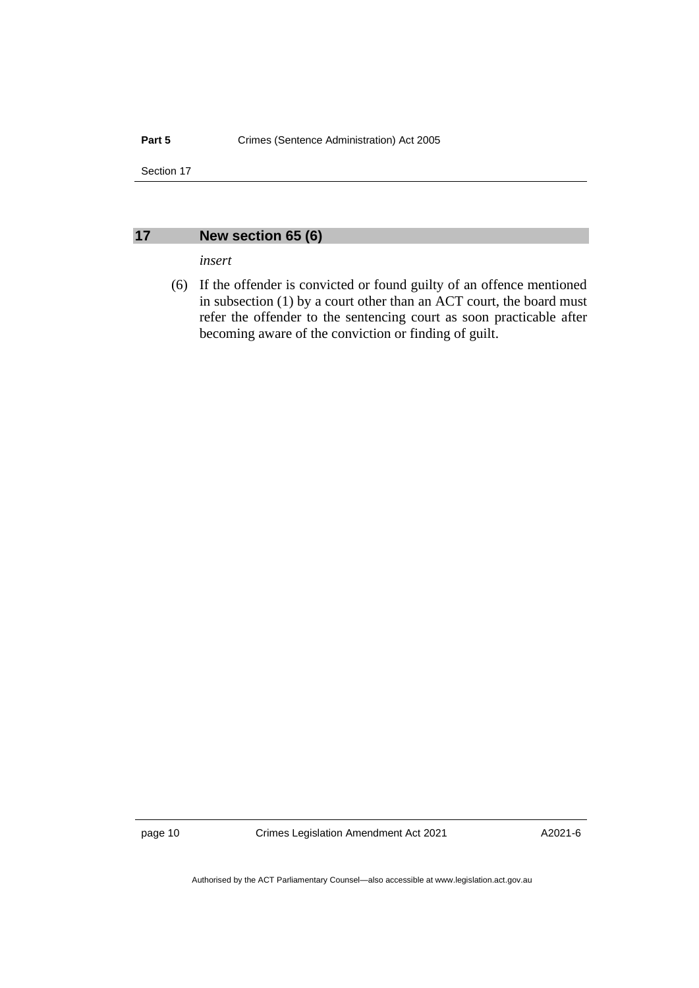## <span id="page-11-0"></span>**17 New section 65 (6)**

#### *insert*

(6) If the offender is convicted or found guilty of an offence mentioned in subsection (1) by a court other than an ACT court, the board must refer the offender to the sentencing court as soon practicable after becoming aware of the conviction or finding of guilt.

page 10 Crimes Legislation Amendment Act 2021

A2021-6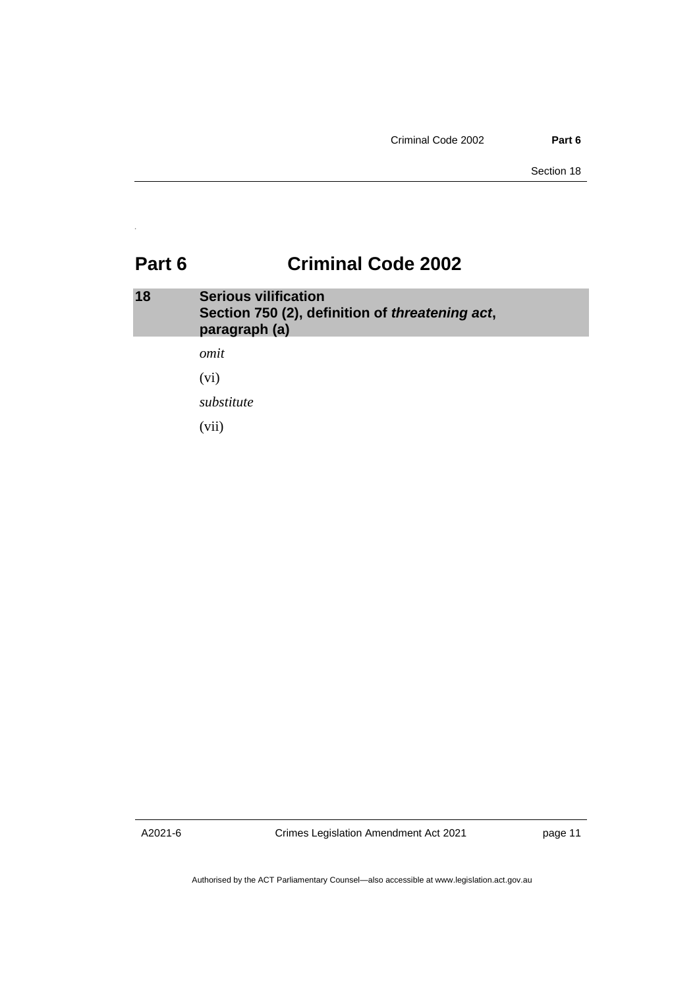# <span id="page-12-0"></span>**Part 6 Criminal Code 2002**

<span id="page-12-1"></span>

| 18 | <b>Serious vilification</b><br>Section 750 (2), definition of <i>threatening act</i> ,<br>paragraph (a) |
|----|---------------------------------------------------------------------------------------------------------|
|    | omit                                                                                                    |

(vi)

*substitute*

(vii)

A2021-6

Crimes Legislation Amendment Act 2021

page 11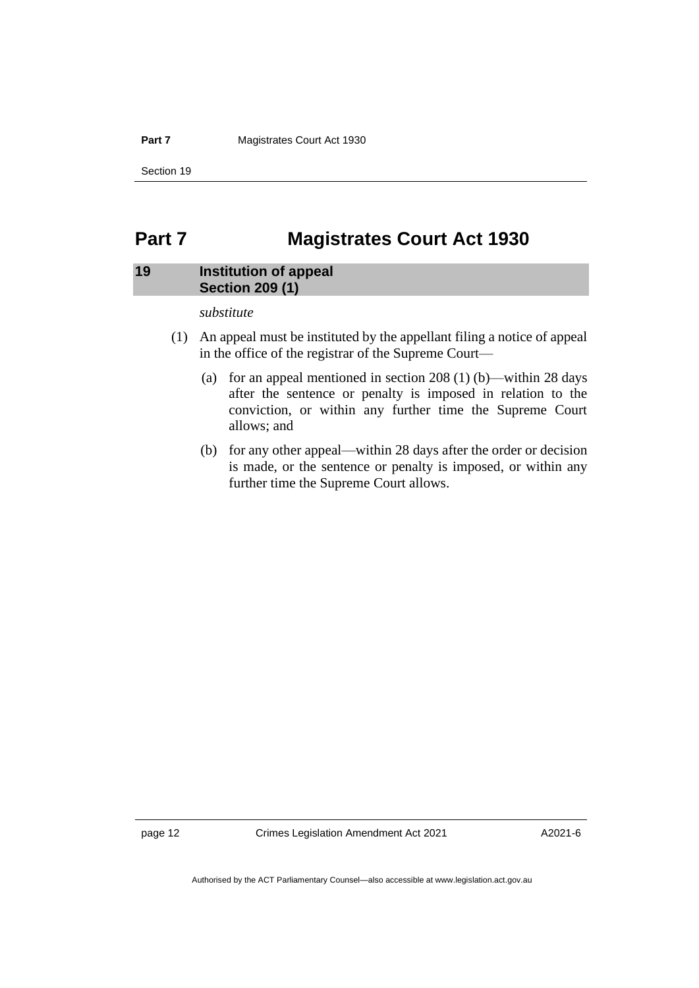#### **Part 7** Magistrates Court Act 1930

Section 19

# <span id="page-13-0"></span>**Part 7 Magistrates Court Act 1930**

## <span id="page-13-1"></span>**19 Institution of appeal Section 209 (1)**

#### *substitute*

- (1) An appeal must be instituted by the appellant filing a notice of appeal in the office of the registrar of the Supreme Court—
	- (a) for an appeal mentioned in section  $208(1)$  (b)—within 28 days after the sentence or penalty is imposed in relation to the conviction, or within any further time the Supreme Court allows; and
	- (b) for any other appeal—within 28 days after the order or decision is made, or the sentence or penalty is imposed, or within any further time the Supreme Court allows.

page 12 Crimes Legislation Amendment Act 2021

A2021-6